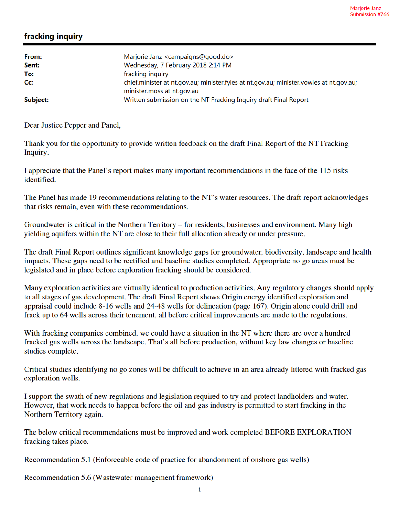## fracking inquiry

| From:    | Marjorie Janz <campaigns@good.do></campaigns@good.do>                                          |
|----------|------------------------------------------------------------------------------------------------|
| Sent:    | Wednesday, 7 February 2018 2:14 PM                                                             |
| To:      | fracking inquiry                                                                               |
| Cc:      | chief.minister at nt.gov.au; minister.fyles at nt.gov.au; minister.vowles at nt.gov.au;        |
| Subject: | minister.moss at nt.gov.au<br>Written submission on the NT Fracking Inquiry draft Final Report |

Dear Justice Pepper and Panel,

Thank you for the opportunity to provide written feedback on the draft Final Report of the NT Fracking Inquiry.

I appreciate that the Panel's report makes many important recommendations in the face of the 115 risks identified.

The Panel has made 19 recommendations relating to the NT's water resources. The draft report acknowledges that risks remain, even with these recommendations.

Groundwater is critical in the Northern Territory – for residents, businesses and environment. Many high yielding aquifers within the NT are close to their full allocation already or under pressure.

The draft Final Report outlines significant knowledge gaps for groundwater, biodiversity, landscape and health impacts. These gaps need to be rectified and baseline studies completed. Appropriate no go areas must be legislated and in place before exploration fracking should be considered.

Many exploration activities are virtually identical to production activities. Any regulatory changes should apply to all stages of gas development. The draft Final Report shows Origin energy identified exploration and appraisal could include 8-16 wells and 24-48 wells for delineation (page 167). Origin alone could drill and frack up to 64 wells across their tenement, all before critical improvements are made to the regulations.

With fracking companies combined, we could have a situation in the NT where there are over a hundred fracked gas wells across the landscape. That's all before production, without key law changes or baseline studies complete.

Critical studies identifying no go zones will be difficult to achieve in an area already littered with fracked gas exploration wells.

I support the swath of new regulations and legislation required to try and protect landholders and water. However, that work needs to happen before the oil and gas industry is permitted to start fracking in the Northern Territory again.

The below critical recommendations must be improved and work completed BEFORE EXPLORATION fracking takes place.

Recommendation 5.1 (Enforceable code of practice for abandonment of onshore gas wells)

Recommendation 5.6 (Wastewater management framework)